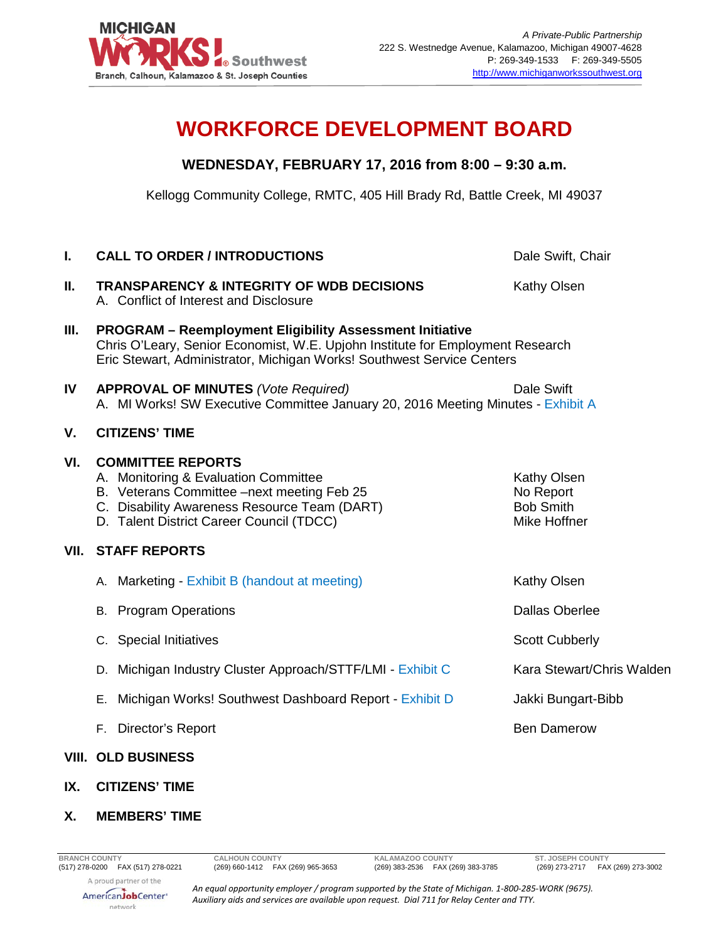

## **WORKFORCE DEVELOPMENT BOARD**

## **WEDNESDAY, FEBRUARY 17, 2016 from 8:00 – 9:30 a.m.**

Kellogg Community College, RMTC, 405 Hill Brady Rd, Battle Creek, MI 49037

| I.   | <b>CALL TO ORDER / INTRODUCTIONS</b>                                                                                                                                                                                        | Dale Swift, Chair                                                   |  |
|------|-----------------------------------------------------------------------------------------------------------------------------------------------------------------------------------------------------------------------------|---------------------------------------------------------------------|--|
| Ш.   | <b>TRANSPARENCY &amp; INTEGRITY OF WDB DECISIONS</b><br>A. Conflict of Interest and Disclosure                                                                                                                              | Kathy Olsen                                                         |  |
| Ш.   | <b>PROGRAM - Reemployment Eligibility Assessment Initiative</b><br>Chris O'Leary, Senior Economist, W.E. Upjohn Institute for Employment Research<br>Eric Stewart, Administrator, Michigan Works! Southwest Service Centers |                                                                     |  |
| IV   | <b>APPROVAL OF MINUTES (Vote Required)</b><br>A. MI Works! SW Executive Committee January 20, 2016 Meeting Minutes - Exhibit A                                                                                              | <b>Dale Swift</b>                                                   |  |
| V.   | <b>CITIZENS' TIME</b>                                                                                                                                                                                                       |                                                                     |  |
| VI.  | <b>COMMITTEE REPORTS</b><br>A. Monitoring & Evaluation Committee<br>B. Veterans Committee -next meeting Feb 25<br>C. Disability Awareness Resource Team (DART)<br>D. Talent District Career Council (TDCC)                  | <b>Kathy Olsen</b><br>No Report<br><b>Bob Smith</b><br>Mike Hoffner |  |
| VII. | <b>STAFF REPORTS</b>                                                                                                                                                                                                        |                                                                     |  |
|      | A. Marketing - Exhibit B (handout at meeting)                                                                                                                                                                               | Kathy Olsen                                                         |  |
|      | <b>B.</b> Program Operations                                                                                                                                                                                                | <b>Dallas Oberlee</b>                                               |  |
|      | C. Special Initiatives                                                                                                                                                                                                      | <b>Scott Cubberly</b>                                               |  |
|      | Michigan Industry Cluster Approach/STTF/LMI - Exhibit C<br>D.                                                                                                                                                               | Kara Stewart/Chris Walden                                           |  |
|      | Michigan Works! Southwest Dashboard Report - Exhibit D<br>Е.                                                                                                                                                                | Jakki Bungart-Bibb                                                  |  |
|      | F. Director's Report                                                                                                                                                                                                        | <b>Ben Damerow</b>                                                  |  |
|      | <b>VIII. OLD BUSINESS</b>                                                                                                                                                                                                   |                                                                     |  |

- **IX. CITIZENS' TIME**
- **X. MEMBERS' TIME**

(269) 383-2536 FAX (269) 383-3785

AmericanJobCenter\* network

*An equal opportunity employer / program supported by the State of Michigan. 1-800-285-WORK (9675). Auxiliary aids and services are available upon request. Dial 711 for Relay Center and TTY.*